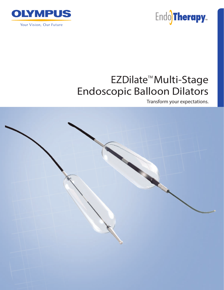

EndoTherapy<sub>m</sub>

# EZDilate<sup>™</sup>Multi-Stage **Endoscopic Balloon Dilators**

Transform your expectations.

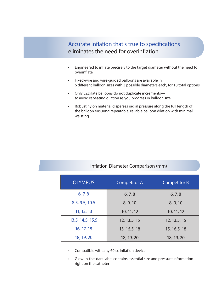### Accurate inflation that's true to specifications eliminates the need for overinflation

- Engineered to inflate precisely to the target diameter without the need to overinflate
- Fixed-wire and wire-guided balloons are available in 6 different balloon sizes with 3 possible diameters each, for 18 total options
- Only EZDilate balloons do not duplicate increments to avoid repeating dilation as you progress in balloon size
- Robust nylon material disperses radial pressure along the full length of the balloon ensuring repeatable, reliable balloon dilation with minimal waisting

| <b>OLYMPUS</b>   | <b>Competitor A</b> | <b>Competitor B</b> |
|------------------|---------------------|---------------------|
| 6, 7, 8          | 6, 7, 8             | 6, 7, 8             |
| 8.5, 9.5, 10.5   | 8, 9, 10            | 8, 9, 10            |
| 11, 12, 13       | 10, 11, 12          | 10, 11, 12          |
| 13.5, 14.5, 15.5 | 12, 13.5, 15        | 12, 13.5, 15        |
| 16, 17, 18       | 15, 16.5, 18        | 15, 16.5, 18        |
| 18, 19, 20       | 18, 19, 20          | 18, 19, 20          |

- Compatible with any 60 cc inflation device
- Glow-in-the-dark label contains essential size and pressure information right on the catheter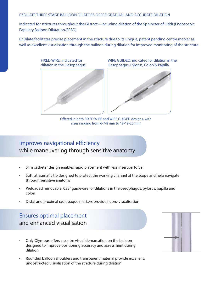### EZDILATE THREE STAGE BALLOON DILATORS OFFER GRADUAL AND ACCURATE DILATION

Indicated for strictures throughout the GI tract—including dilation of the Sphincter of Oddi (Endoscopic Papillary Balloon Dilatation/EPBD).

EZDilate facilitates precise placement in the stricture due to its unique, patent pending centre marker as well as excellent visualisation through the balloon during dilation for improved monitoring of the stricture.



WIRE GUIDED: indicated for dilation in the Oesophagus, Pylorus, Colon & Papilla



Offered in both FIXED WIRE and WIRE GUIDED designs, with sizes ranging from 6-7-8 mm to 18-19-20 mm

## Improves navigational efficiency while maneuvering through sensitive anatomy

- Slim catheter design enables rapid placement with less insertion force
- Soft, atraumatic tip designed to protect the working channel of the scope and help navigate through sensitive anatomy
- Preloaded removable .035'' guidewire for dilations in the oesophagus, pylorus, papilla and colon
- Distal and proximal radiopaque markers provide fluoro-visualisation

## Ensures optimal placement and enhanced visualisation

- Only Olympus offers a centre visual demarcation on the balloon designed to improve positioning accuracy and assessment during dilation
- Rounded balloon shoulders and transparent material provide excellent, unobstructed visualisation of the stricture during dilation